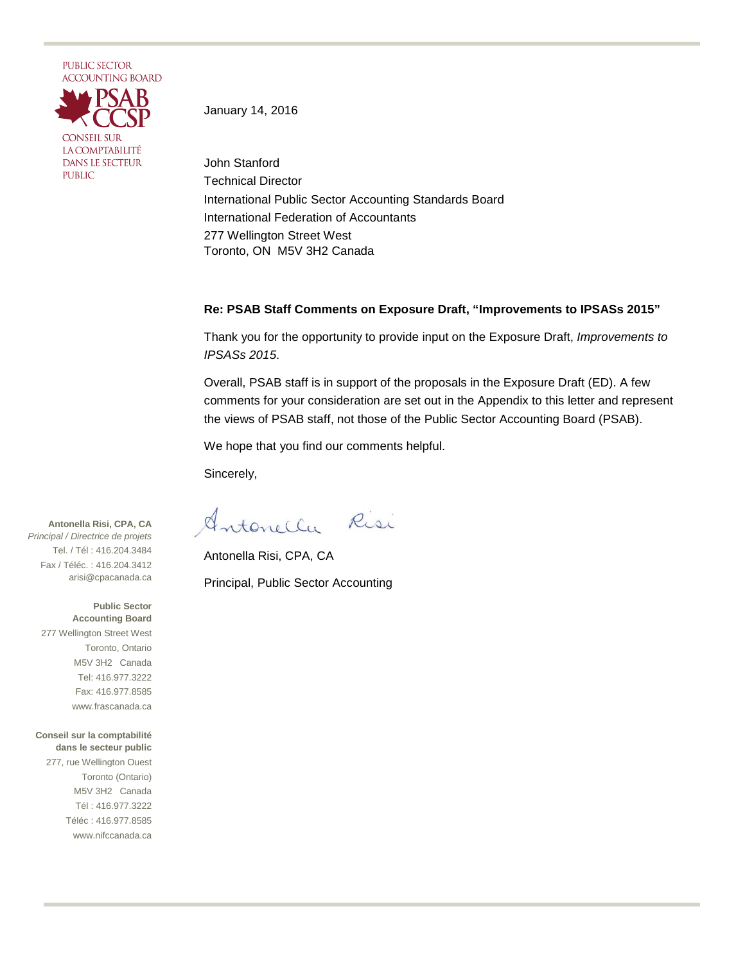

January 14, 2016

John Stanford Technical Director International Public Sector Accounting Standards Board International Federation of Accountants 277 Wellington Street West Toronto, ON M5V 3H2 Canada

#### **Re: PSAB Staff Comments on Exposure Draft, "Improvements to IPSASs 2015"**

Thank you for the opportunity to provide input on the Exposure Draft, *Improvements to IPSASs 2015*.

Overall, PSAB staff is in support of the proposals in the Exposure Draft (ED). A few comments for your consideration are set out in the Appendix to this letter and represent the views of PSAB staff, not those of the Public Sector Accounting Board (PSAB).

We hope that you find our comments helpful.

Sincerely,

Antonella Risi

Antonella Risi, CPA, CA Principal, Public Sector Accounting

**Antonella Risi, CPA, CA** *Principal / Directrice de projets* Tel. / Tél : 416.204.3484 Fax / Téléc. : 416.204.3412 arisi@cpacanada.ca

**Public Sector Accounting Board** 277 Wellington Street West Toronto, Ontario M5V 3H2 Canada Tel: 416.977.3222 Fax: 416.977.8585 www.frascanada.ca

**Conseil sur la comptabilité dans le secteur public** 277, rue Wellington Ouest Toronto (Ontario) M5V 3H2 Canada Tél : 416.977.3222 Téléc : 416.977.8585 www.nifccanada.ca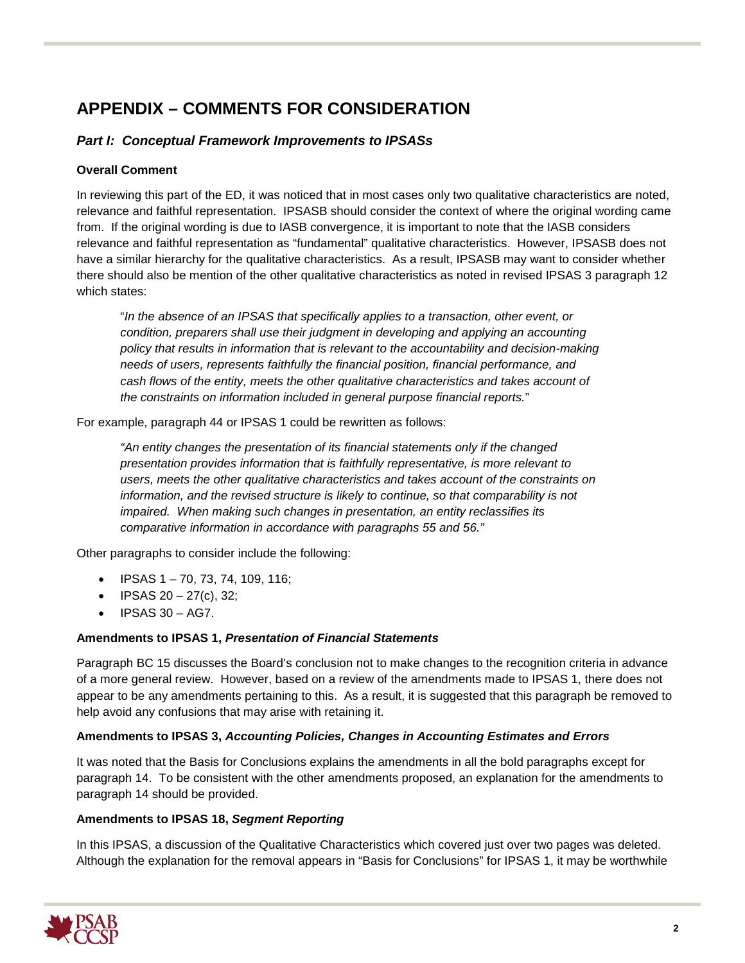# **APPENDIX – COMMENTS FOR CONSIDERATION**

# *Part I: Conceptual Framework Improvements to IPSASs*

# **Overall Comment**

In reviewing this part of the ED, it was noticed that in most cases only two qualitative characteristics are noted, relevance and faithful representation. IPSASB should consider the context of where the original wording came from. If the original wording is due to IASB convergence, it is important to note that the IASB considers relevance and faithful representation as "fundamental" qualitative characteristics. However, IPSASB does not have a similar hierarchy for the qualitative characteristics. As a result, IPSASB may want to consider whether there should also be mention of the other qualitative characteristics as noted in revised IPSAS 3 paragraph 12 which states:

"*In the absence of an IPSAS that specifically applies to a transaction, other event, or condition, preparers shall use their judgment in developing and applying an accounting policy that results in information that is relevant to the accountability and decision-making needs of users, represents faithfully the financial position, financial performance, and cash flows of the entity, meets the other qualitative characteristics and takes account of the constraints on information included in general purpose financial reports.*"

For example, paragraph 44 or IPSAS 1 could be rewritten as follows:

*"An entity changes the presentation of its financial statements only if the changed presentation provides information that is faithfully representative, is more relevant to users, meets the other qualitative characteristics and takes account of the constraints on information, and the revised structure is likely to continue, so that comparability is not impaired. When making such changes in presentation, an entity reclassifies its comparative information in accordance with paragraphs 55 and 56."*

Other paragraphs to consider include the following:

- IPSAS  $1 70$ , 73, 74, 109, 116;
- IPSAS  $20 27(c)$ , 32;
- IPSAS 30 AG7.

## **Amendments to IPSAS 1,** *Presentation of Financial Statements*

Paragraph BC 15 discusses the Board's conclusion not to make changes to the recognition criteria in advance of a more general review. However, based on a review of the amendments made to IPSAS 1, there does not appear to be any amendments pertaining to this. As a result, it is suggested that this paragraph be removed to help avoid any confusions that may arise with retaining it.

## **Amendments to IPSAS 3,** *Accounting Policies, Changes in Accounting Estimates and Errors*

It was noted that the Basis for Conclusions explains the amendments in all the bold paragraphs except for paragraph 14. To be consistent with the other amendments proposed, an explanation for the amendments to paragraph 14 should be provided.

## **Amendments to IPSAS 18,** *Segment Reporting*

In this IPSAS, a discussion of the Qualitative Characteristics which covered just over two pages was deleted. Although the explanation for the removal appears in "Basis for Conclusions" for IPSAS 1, it may be worthwhile